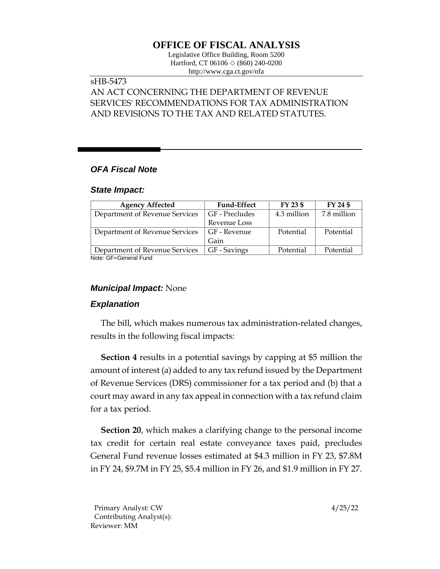# **OFFICE OF FISCAL ANALYSIS**

Legislative Office Building, Room 5200 Hartford, CT 06106  $\Diamond$  (860) 240-0200 http://www.cga.ct.gov/ofa

# sHB-5473

# AN ACT CONCERNING THE DEPARTMENT OF REVENUE SERVICES' RECOMMENDATIONS FOR TAX ADMINISTRATION AND REVISIONS TO THE TAX AND RELATED STATUTES.

## *OFA Fiscal Note*

#### *State Impact:*

| <b>Agency Affected</b>         | <b>Fund-Effect</b> | FY 23 \$    | FY 24 \$    |
|--------------------------------|--------------------|-------------|-------------|
| Department of Revenue Services | GF - Precludes     | 4.3 million | 7.8 million |
|                                | Revenue Loss       |             |             |
| Department of Revenue Services | GF - Revenue       | Potential   | Potential   |
|                                | Gain               |             |             |
| Department of Revenue Services | GF - Savings       | Potential   | Potential   |

Note: GF=General Fund

### *Municipal Impact:* None

## *Explanation*

The bill, which makes numerous tax administration-related changes, results in the following fiscal impacts:

**Section 4** results in a potential savings by capping at \$5 million the amount of interest (a) added to any tax refund issued by the Department of Revenue Services (DRS) commissioner for a tax period and (b) that a court may award in any tax appeal in connection with a tax refund claim for a tax period.

**Section 20**, which makes a clarifying change to the personal income tax credit for certain real estate conveyance taxes paid, precludes General Fund revenue losses estimated at \$4.3 million in FY 23, \$7.8M in FY 24, \$9.7M in FY 25, \$5.4 million in FY 26, and \$1.9 million in FY 27.